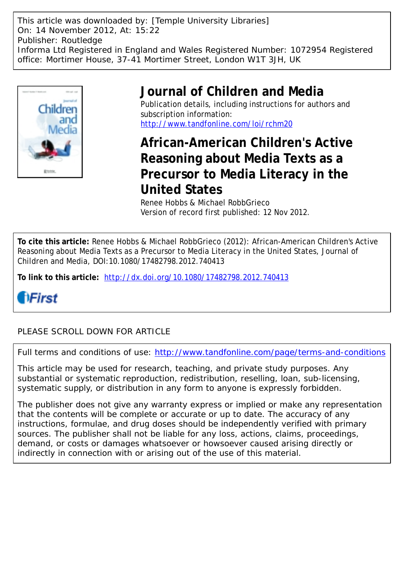This article was downloaded by: [Temple University Libraries] On: 14 November 2012, At: 15:22 Publisher: Routledge Informa Ltd Registered in England and Wales Registered Number: 1072954 Registered office: Mortimer House, 37-41 Mortimer Street, London W1T 3JH, UK



# **Journal of Children and Media**

Publication details, including instructions for authors and subscription information: <http://www.tandfonline.com/loi/rchm20>

## **African-American Children's Active Reasoning about Media Texts as a Precursor to Media Literacy in the United States**

Renee Hobbs & Michael RobbGrieco Version of record first published: 12 Nov 2012.

**To cite this article:** Renee Hobbs & Michael RobbGrieco (2012): African-American Children's Active Reasoning about Media Texts as a Precursor to Media Literacy in the United States, Journal of Children and Media, DOI:10.1080/17482798.2012.740413

**To link to this article:** <http://dx.doi.org/10.1080/17482798.2012.740413>



## PLEASE SCROLL DOWN FOR ARTICLE

Full terms and conditions of use:<http://www.tandfonline.com/page/terms-and-conditions>

This article may be used for research, teaching, and private study purposes. Any substantial or systematic reproduction, redistribution, reselling, loan, sub-licensing, systematic supply, or distribution in any form to anyone is expressly forbidden.

The publisher does not give any warranty express or implied or make any representation that the contents will be complete or accurate or up to date. The accuracy of any instructions, formulae, and drug doses should be independently verified with primary sources. The publisher shall not be liable for any loss, actions, claims, proceedings, demand, or costs or damages whatsoever or howsoever caused arising directly or indirectly in connection with or arising out of the use of this material.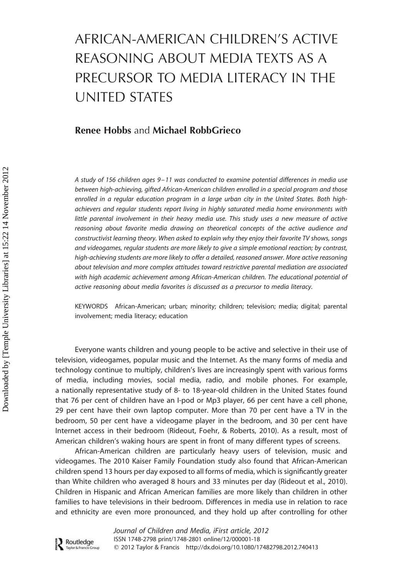# AFRICAN-AMERICAN CHILDREN'S ACTIVE REASONING ABOUT MEDIA TEXTS AS A PRECURSOR TO MEDIA LITERACY IN THE UNITED STATES

### Renee Hobbs and Michael RobbGrieco

A study of 156 children ages 9 – 11 was conducted to examine potential differences in media use between high-achieving, gifted African-American children enrolled in a special program and those enrolled in a regular education program in a large urban city in the United States. Both highachievers and regular students report living in highly saturated media home environments with little parental involvement in their heavy media use. This study uses a new measure of active reasoning about favorite media drawing on theoretical concepts of the active audience and constructivist learning theory. When asked to explain why they enjoy their favorite TV shows, songs and videogames, regular students are more likely to give a simple emotional reaction; by contrast, high-achieving students are more likely to offer a detailed, reasoned answer. More active reasoning about television and more complex attitudes toward restrictive parental mediation are associated with high academic achievement among African-American children. The educational potential of active reasoning about media favorites is discussed as a precursor to media literacy.

KEYWORDS African-American; urban; minority; children; television; media; digital; parental involvement; media literacy; education

Everyone wants children and young people to be active and selective in their use of television, videogames, popular music and the Internet. As the many forms of media and technology continue to multiply, children's lives are increasingly spent with various forms of media, including movies, social media, radio, and mobile phones. For example, a nationally representative study of 8- to 18-year-old children in the United States found that 76 per cent of children have an I-pod or Mp3 player, 66 per cent have a cell phone, 29 per cent have their own laptop computer. More than 70 per cent have a TV in the bedroom, 50 per cent have a videogame player in the bedroom, and 30 per cent have Internet access in their bedroom (Rideout, Foehr, & Roberts, 2010). As a result, most of American children's waking hours are spent in front of many different types of screens.

African-American children are particularly heavy users of television, music and videogames. The 2010 Kaiser Family Foundation study also found that African-American children spend 13 hours per day exposed to all forms of media, which is significantly greater than White children who averaged 8 hours and 33 minutes per day (Rideout et al., 2010). Children in Hispanic and African American families are more likely than children in other families to have televisions in their bedroom. Differences in media use in relation to race and ethnicity are even more pronounced, and they hold up after controlling for other

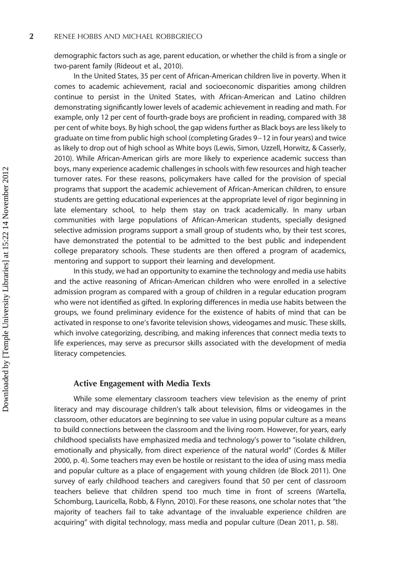demographic factors such as age, parent education, or whether the child is from a single or two-parent family (Rideout et al., 2010).

In the United States, 35 per cent of African-American children live in poverty. When it comes to academic achievement, racial and socioeconomic disparities among children continue to persist in the United States, with African-American and Latino children demonstrating significantly lower levels of academic achievement in reading and math. For example, only 12 per cent of fourth-grade boys are proficient in reading, compared with 38 per cent of white boys. By high school, the gap widens further as Black boys are less likely to graduate on time from public high school (completing Grades 9–12 in four years) and twice as likely to drop out of high school as White boys (Lewis, Simon, Uzzell, Horwitz, & Casserly, 2010). While African-American girls are more likely to experience academic success than boys, many experience academic challenges in schools with few resources and high teacher turnover rates. For these reasons, policymakers have called for the provision of special programs that support the academic achievement of African-American children, to ensure students are getting educational experiences at the appropriate level of rigor beginning in late elementary school, to help them stay on track academically. In many urban communities with large populations of African-American students, specially designed selective admission programs support a small group of students who, by their test scores, have demonstrated the potential to be admitted to the best public and independent college preparatory schools. These students are then offered a program of academics, mentoring and support to support their learning and development.

In this study, we had an opportunity to examine the technology and media use habits and the active reasoning of African-American children who were enrolled in a selective admission program as compared with a group of children in a regular education program who were not identified as gifted. In exploring differences in media use habits between the groups, we found preliminary evidence for the existence of habits of mind that can be activated in response to one's favorite television shows, videogames and music. These skills, which involve categorizing, describing, and making inferences that connect media texts to life experiences, may serve as precursor skills associated with the development of media literacy competencies.

#### Active Engagement with Media Texts

While some elementary classroom teachers view television as the enemy of print literacy and may discourage children's talk about television, films or videogames in the classroom, other educators are beginning to see value in using popular culture as a means to build connections between the classroom and the living room. However, for years, early childhood specialists have emphasized media and technology's power to "isolate children, emotionally and physically, from direct experience of the natural world" (Cordes & Miller 2000, p. 4). Some teachers may even be hostile or resistant to the idea of using mass media and popular culture as a place of engagement with young children (de Block 2011). One survey of early childhood teachers and caregivers found that 50 per cent of classroom teachers believe that children spend too much time in front of screens (Wartella, Schomburg, Lauricella, Robb, & Flynn, 2010). For these reasons, one scholar notes that "the majority of teachers fail to take advantage of the invaluable experience children are acquiring" with digital technology, mass media and popular culture (Dean 2011, p. 58).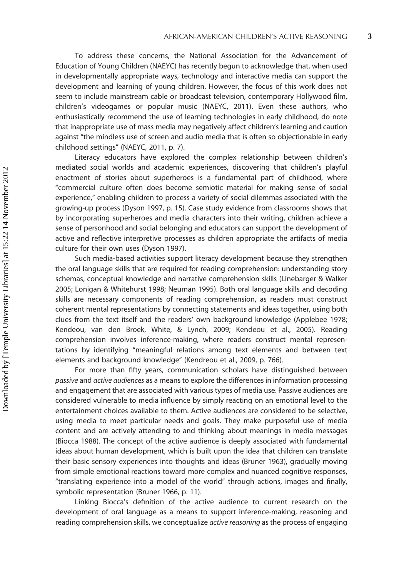To address these concerns, the National Association for the Advancement of Education of Young Children (NAEYC) has recently begun to acknowledge that, when used in developmentally appropriate ways, technology and interactive media can support the development and learning of young children. However, the focus of this work does not seem to include mainstream cable or broadcast television, contemporary Hollywood film, children's videogames or popular music (NAEYC, 2011). Even these authors, who enthusiastically recommend the use of learning technologies in early childhood, do note that inappropriate use of mass media may negatively affect children's learning and caution against "the mindless use of screen and audio media that is often so objectionable in early childhood settings" (NAEYC, 2011, p. 7).

Literacy educators have explored the complex relationship between children's mediated social worlds and academic experiences, discovering that children's playful enactment of stories about superheroes is a fundamental part of childhood, where "commercial culture often does become semiotic material for making sense of social experience," enabling children to process a variety of social dilemmas associated with the growing-up process (Dyson 1997, p. 15). Case study evidence from classrooms shows that by incorporating superheroes and media characters into their writing, children achieve a sense of personhood and social belonging and educators can support the development of active and reflective interpretive processes as children appropriate the artifacts of media culture for their own uses (Dyson 1997).

Such media-based activities support literacy development because they strengthen the oral language skills that are required for reading comprehension: understanding story schemas, conceptual knowledge and narrative comprehension skills (Linebarger & Walker 2005; Lonigan & Whitehurst 1998; Neuman 1995). Both oral language skills and decoding skills are necessary components of reading comprehension, as readers must construct coherent mental representations by connecting statements and ideas together, using both clues from the text itself and the readers' own background knowledge (Applebee 1978; Kendeou, van den Broek, White, & Lynch, 2009; Kendeou et al., 2005). Reading comprehension involves inference-making, where readers construct mental representations by identifying "meaningful relations among text elements and between text elements and background knowledge" (Kendreou et al., 2009, p. 766).

For more than fifty years, communication scholars have distinguished between passive and active audiences as a means to explore the differences in information processing and engagement that are associated with various types of media use. Passive audiences are considered vulnerable to media influence by simply reacting on an emotional level to the entertainment choices available to them. Active audiences are considered to be selective, using media to meet particular needs and goals. They make purposeful use of media content and are actively attending to and thinking about meanings in media messages (Biocca 1988). The concept of the active audience is deeply associated with fundamental ideas about human development, which is built upon the idea that children can translate their basic sensory experiences into thoughts and ideas (Bruner 1963), gradually moving from simple emotional reactions toward more complex and nuanced cognitive responses, "translating experience into a model of the world" through actions, images and finally, symbolic representation (Bruner 1966, p. 11).

Linking Biocca's definition of the active audience to current research on the development of oral language as a means to support inference-making, reasoning and reading comprehension skills, we conceptualize active reasoning as the process of engaging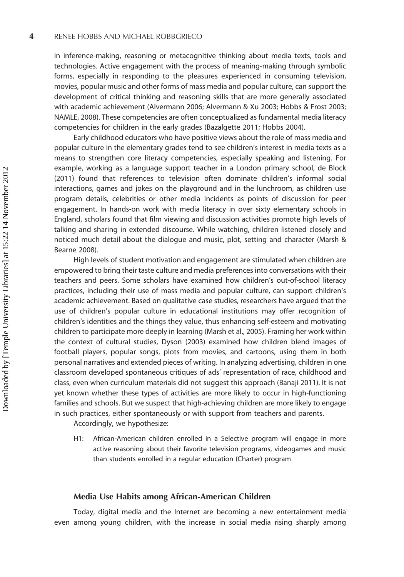in inference-making, reasoning or metacognitive thinking about media texts, tools and technologies. Active engagement with the process of meaning-making through symbolic forms, especially in responding to the pleasures experienced in consuming television, movies, popular music and other forms of mass media and popular culture, can support the development of critical thinking and reasoning skills that are more generally associated with academic achievement (Alvermann 2006; Alvermann & Xu 2003; Hobbs & Frost 2003; NAMLE, 2008). These competencies are often conceptualized as fundamental media literacy competencies for children in the early grades (Bazalgette 2011; Hobbs 2004).

Early childhood educators who have positive views about the role of mass media and popular culture in the elementary grades tend to see children's interest in media texts as a means to strengthen core literacy competencies, especially speaking and listening. For example, working as a language support teacher in a London primary school, de Block (2011) found that references to television often dominate children's informal social interactions, games and jokes on the playground and in the lunchroom, as children use program details, celebrities or other media incidents as points of discussion for peer engagement. In hands-on work with media literacy in over sixty elementary schools in England, scholars found that film viewing and discussion activities promote high levels of talking and sharing in extended discourse. While watching, children listened closely and noticed much detail about the dialogue and music, plot, setting and character (Marsh & Bearne 2008).

High levels of student motivation and engagement are stimulated when children are empowered to bring their taste culture and media preferences into conversations with their teachers and peers. Some scholars have examined how children's out-of-school literacy practices, including their use of mass media and popular culture, can support children's academic achievement. Based on qualitative case studies, researchers have argued that the use of children's popular culture in educational institutions may offer recognition of children's identities and the things they value, thus enhancing self-esteem and motivating children to participate more deeply in learning (Marsh et al., 2005). Framing her work within the context of cultural studies, Dyson (2003) examined how children blend images of football players, popular songs, plots from movies, and cartoons, using them in both personal narratives and extended pieces of writing. In analyzing advertising, children in one classroom developed spontaneous critiques of ads' representation of race, childhood and class, even when curriculum materials did not suggest this approach (Banaji 2011). It is not yet known whether these types of activities are more likely to occur in high-functioning families and schools. But we suspect that high-achieving children are more likely to engage in such practices, either spontaneously or with support from teachers and parents.

Accordingly, we hypothesize:

H1: African-American children enrolled in a Selective program will engage in more active reasoning about their favorite television programs, videogames and music than students enrolled in a regular education (Charter) program

#### Media Use Habits among African-American Children

Today, digital media and the Internet are becoming a new entertainment media even among young children, with the increase in social media rising sharply among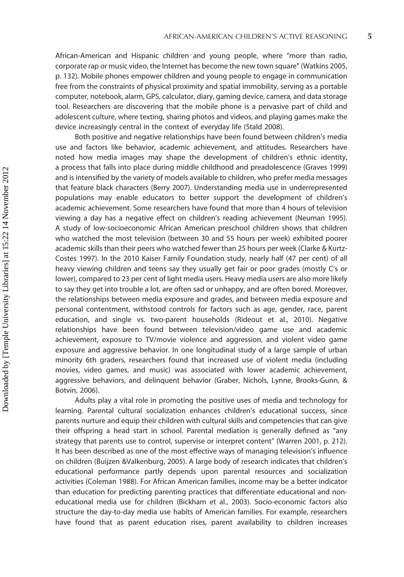African-American and Hispanic children and young people, where "more than radio, corporate rap or music video, the Internet has become the new town square" (Watkins 2005, p. 132). Mobile phones empower children and young people to engage in communication free from the constraints of physical proximity and spatial immobility, serving as a portable computer, notebook, alarm, GPS, calculator, diary, gaming device, camera, and data storage tool. Researchers are discovering that the mobile phone is a pervasive part of child and adolescent culture, where texting, sharing photos and videos, and playing games make the device increasingly central in the context of everyday life (Stald 2008).

Both positive and negative relationships have been found between children's media use and factors like behavior, academic achievement, and attitudes. Researchers have noted how media images may shape the development of children's ethnic identity, a process that falls into place during middle childhood and preadolescence (Graves 1999) and is intensified by the variety of models available to children, who prefer media messages that feature black characters (Berry 2007). Understanding media use in underrepresented populations may enable educators to better support the development of children's academic achievement. Some researchers have found that more than 4 hours of television viewing a day has a negative effect on children's reading achievement (Neuman 1995). A study of low-socioeconomic African American preschool children shows that children who watched the most television (between 30 and 55 hours per week) exhibited poorer academic skills than their peers who watched fewer than 25 hours per week (Clarke & Kurtz-Costes 1997). In the 2010 Kaiser Family Foundation study, nearly half (47 per cent) of all heavy viewing children and teens say they usually get fair or poor grades (mostly C's or lower), compared to 23 per cent of light media users. Heavy media users are also more likely to say they get into trouble a lot, are often sad or unhappy, and are often bored. Moreover, the relationships between media exposure and grades, and between media exposure and personal contentment, withstood controls for factors such as age, gender, race, parent education, and single vs. two-parent households (Rideout et al., 2010). Negative relationships have been found between television/video game use and academic achievement, exposure to TV/movie violence and aggression, and violent video game exposure and aggressive behavior. In one longitudinal study of a large sample of urban minority 6th graders, researchers found that increased use of violent media (including movies, video games, and music) was associated with lower academic achievement, aggressive behaviors, and delinquent behavior (Graber, Nichols, Lynne, Brooks-Gunn, & Botvin, 2006).

Adults play a vital role in promoting the positive uses of media and technology for learning. Parental cultural socialization enhances children's educational success, since parents nurture and equip their children with cultural skills and competencies that can give their offspring a head start in school. Parental mediation is generally defined as "any strategy that parents use to control, supervise or interpret content" (Warren 2001, p. 212). It has been described as one of the most effective ways of managing television's influence on children (Buijzen &Valkenburg, 2005). A large body of research indicates that children's educational performance partly depends upon parental resources and socialization activities (Coleman 1988). For African American families, income may be a better indicator than education for predicting parenting practices that differentiate educational and noneducational media use for children (Bickham et al., 2003). Socio-economic factors also structure the day-to-day media use habits of American families. For example, researchers have found that as parent education rises, parent availability to children increases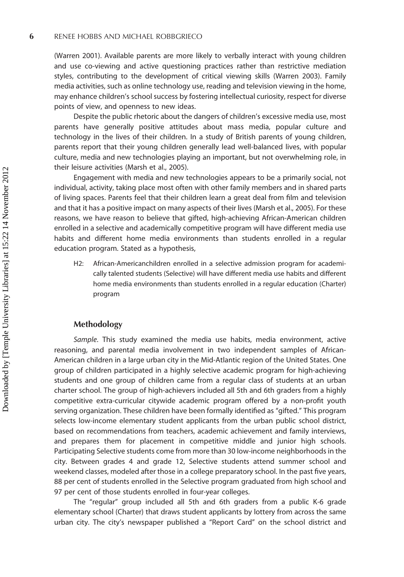(Warren 2001). Available parents are more likely to verbally interact with young children and use co-viewing and active questioning practices rather than restrictive mediation styles, contributing to the development of critical viewing skills (Warren 2003). Family media activities, such as online technology use, reading and television viewing in the home, may enhance children's school success by fostering intellectual curiosity, respect for diverse points of view, and openness to new ideas.

Despite the public rhetoric about the dangers of children's excessive media use, most parents have generally positive attitudes about mass media, popular culture and technology in the lives of their children. In a study of British parents of young children, parents report that their young children generally lead well-balanced lives, with popular culture, media and new technologies playing an important, but not overwhelming role, in their leisure activities (Marsh et al., 2005).

Engagement with media and new technologies appears to be a primarily social, not individual, activity, taking place most often with other family members and in shared parts of living spaces. Parents feel that their children learn a great deal from film and television and that it has a positive impact on many aspects of their lives (Marsh et al., 2005). For these reasons, we have reason to believe that gifted, high-achieving African-American children enrolled in a selective and academically competitive program will have different media use habits and different home media environments than students enrolled in a regular education program. Stated as a hypothesis,

H2: African-Americanchildren enrolled in a selective admission program for academically talented students (Selective) will have different media use habits and different home media environments than students enrolled in a regular education (Charter) program

#### Methodology

Sample. This study examined the media use habits, media environment, active reasoning, and parental media involvement in two independent samples of African-American children in a large urban city in the Mid-Atlantic region of the United States. One group of children participated in a highly selective academic program for high-achieving students and one group of children came from a regular class of students at an urban charter school. The group of high-achievers included all 5th and 6th graders from a highly competitive extra-curricular citywide academic program offered by a non-profit youth serving organization. These children have been formally identified as "gifted." This program selects low-income elementary student applicants from the urban public school district, based on recommendations from teachers, academic achievement and family interviews, and prepares them for placement in competitive middle and junior high schools. Participating Selective students come from more than 30 low-income neighborhoods in the city. Between grades 4 and grade 12, Selective students attend summer school and weekend classes, modeled after those in a college preparatory school. In the past five years, 88 per cent of students enrolled in the Selective program graduated from high school and 97 per cent of those students enrolled in four-year colleges.

The "regular" group included all 5th and 6th graders from a public K-6 grade elementary school (Charter) that draws student applicants by lottery from across the same urban city. The city's newspaper published a "Report Card" on the school district and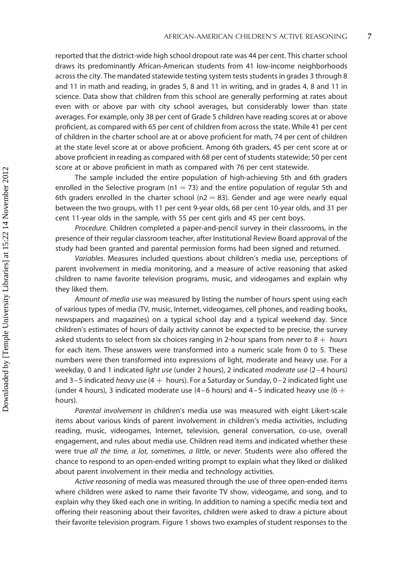reported that the district-wide high school dropout rate was 44 per cent. This charter school draws its predominantly African-American students from 41 low-income neighborhoods across the city. The mandated statewide testing system tests students in grades 3 through 8 and 11 in math and reading, in grades 5, 8 and 11 in writing, and in grades 4, 8 and 11 in science. Data show that children from this school are generally performing at rates about even with or above par with city school averages, but considerably lower than state averages. For example, only 38 per cent of Grade 5 children have reading scores at or above proficient, as compared with 65 per cent of children from across the state. While 41 per cent of children in the charter school are at or above proficient for math, 74 per cent of children at the state level score at or above proficient. Among 6th graders, 45 per cent score at or above proficient in reading as compared with 68 per cent of students statewide; 50 per cent score at or above proficient in math as compared with 76 per cent statewide.

The sample included the entire population of high-achieving 5th and 6th graders enrolled in the Selective program ( $n1 = 73$ ) and the entire population of regular 5th and 6th graders enrolled in the charter school ( $n = 83$ ). Gender and age were nearly equal between the two groups, with 11 per cent 9-year olds, 68 per cent 10-year olds, and 31 per cent 11-year olds in the sample, with 55 per cent girls and 45 per cent boys.

Procedure. Children completed a paper-and-pencil survey in their classrooms, in the presence of their regular classroom teacher, after Institutional Review Board approval of the study had been granted and parental permission forms had been signed and returned.

Variables. Measures included questions about children's media use, perceptions of parent involvement in media monitoring, and a measure of active reasoning that asked children to name favorite television programs, music, and videogames and explain why they liked them.

Amount of media use was measured by listing the number of hours spent using each of various types of media (TV, music, Internet, videogames, cell phones, and reading books, newspapers and magazines) on a typical school day and a typical weekend day. Since children's estimates of hours of daily activity cannot be expected to be precise, the survey asked students to select from six choices ranging in 2-hour spans from never to  $8 +$  hours for each item. These answers were transformed into a numeric scale from 0 to 5. These numbers were then transformed into expressions of light, moderate and heavy use. For a weekday, 0 and 1 indicated light use (under 2 hours), 2 indicated moderate use (2–4 hours) and 3–5 indicated heavy use  $(4 +$  hours). For a Saturday or Sunday, 0–2 indicated light use (under 4 hours), 3 indicated moderate use  $(4-6$  hours) and  $4-5$  indicated heavy use  $(6 +$ hours).

Parental involvement in children's media use was measured with eight Likert-scale items about various kinds of parent involvement in children's media activities, including reading, music, videogames, Internet, television, general conversation, co-use, overall engagement, and rules about media use. Children read items and indicated whether these were true all the time, a lot, sometimes, a little, or never. Students were also offered the chance to respond to an open-ended writing prompt to explain what they liked or disliked about parent involvement in their media and technology activities.

Active reasoning of media was measured through the use of three open-ended items where children were asked to name their favorite TV show, videogame, and song, and to explain why they liked each one in writing. In addition to naming a specific media text and offering their reasoning about their favorites, children were asked to draw a picture about their favorite television program. Figure 1 shows two examples of student responses to the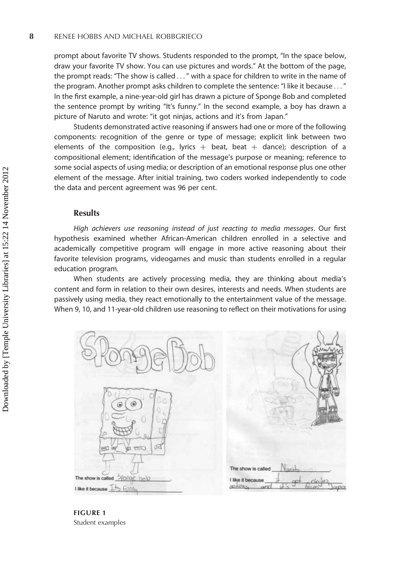prompt about favorite TV shows. Students responded to the prompt, "In the space below, draw your favorite TV show. You can use pictures and words." At the bottom of the page, the prompt reads: "The show is called ..." with a space for children to write in the name of the program. Another prompt asks children to complete the sentence: "I like it because ..." In the first example, a nine-year-old girl has drawn a picture of Sponge Bob and completed the sentence prompt by writing "It's funny." In the second example, a boy has drawn a picture of Naruto and wrote: "it got ninjas, actions and it's from Japan."

Students demonstrated active reasoning if answers had one or more of the following components: recognition of the genre or type of message; explicit link between two elements of the composition (e.g., lyrics  $+$  beat, beat  $+$  dance); description of a compositional element; identification of the message's purpose or meaning; reference to some social aspects of using media; or description of an emotional response plus one other element of the message. After initial training, two coders worked independently to code the data and percent agreement was 96 per cent.

#### **Results**

High achievers use reasoning instead of just reacting to media messages. Our first hypothesis examined whether African-American children enrolled in a selective and academically competitive program will engage in more active reasoning about their favorite television programs, videogames and music than students enrolled in a regular education program.

When students are actively processing media, they are thinking about media's content and form in relation to their own desires, interests and needs. When students are passively using media, they react emotionally to the entertainment value of the message. When 9, 10, and 11-year-old children use reasoning to reflect on their motivations for using



FIGURE 1 Student examples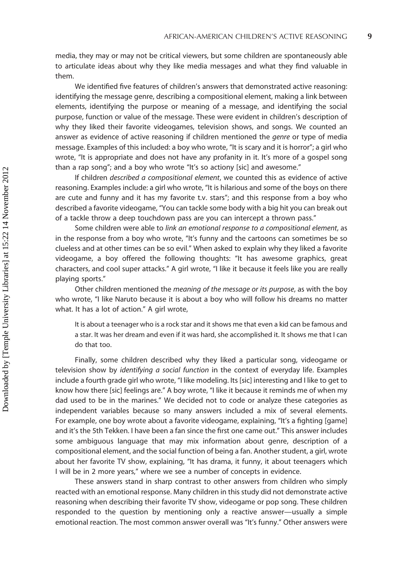media, they may or may not be critical viewers, but some children are spontaneously able to articulate ideas about why they like media messages and what they find valuable in them.

We identified five features of children's answers that demonstrated active reasoning: identifying the message genre, describing a compositional element, making a link between elements, identifying the purpose or meaning of a message, and identifying the social purpose, function or value of the message. These were evident in children's description of why they liked their favorite videogames, television shows, and songs. We counted an answer as evidence of active reasoning if children mentioned the genre or type of media message. Examples of this included: a boy who wrote, "It is scary and it is horror"; a girl who wrote, "It is appropriate and does not have any profanity in it. It's more of a gospel song than a rap song"; and a boy who wrote "It's so actiony [sic] and awesome."

If children described a compositional element, we counted this as evidence of active reasoning. Examples include: a girl who wrote, "It is hilarious and some of the boys on there are cute and funny and it has my favorite t.v. stars"; and this response from a boy who described a favorite videogame, "You can tackle some body with a big hit you can break out of a tackle throw a deep touchdown pass are you can intercept a thrown pass."

Some children were able to link an emotional response to a compositional element, as in the response from a boy who wrote, "It's funny and the cartoons can sometimes be so clueless and at other times can be so evil." When asked to explain why they liked a favorite videogame, a boy offered the following thoughts: "It has awesome graphics, great characters, and cool super attacks." A girl wrote, "I like it because it feels like you are really playing sports."

Other children mentioned the meaning of the message or its purpose, as with the boy who wrote, "I like Naruto because it is about a boy who will follow his dreams no matter what. It has a lot of action." A girl wrote,

It is about a teenager who is a rock star and it shows me that even a kid can be famous and a star. It was her dream and even if it was hard, she accomplished it. It shows me that I can do that too.

Finally, some children described why they liked a particular song, videogame or television show by identifying a social function in the context of everyday life. Examples include a fourth grade girl who wrote, "I like modeling. Its [sic] interesting and I like to get to know how there [sic] feelings are." A boy wrote, "I like it because it reminds me of when my dad used to be in the marines." We decided not to code or analyze these categories as independent variables because so many answers included a mix of several elements. For example, one boy wrote about a favorite videogame, explaining, "It's a fighting [game] and it's the 5th Tekken. I have been a fan since the first one came out." This answer includes some ambiguous language that may mix information about genre, description of a compositional element, and the social function of being a fan. Another student, a girl, wrote about her favorite TV show, explaining, "It has drama, it funny, it about teenagers which I will be in 2 more years," where we see a number of concepts in evidence.

These answers stand in sharp contrast to other answers from children who simply reacted with an emotional response. Many children in this study did not demonstrate active reasoning when describing their favorite TV show, videogame or pop song. These children responded to the question by mentioning only a reactive answer—usually a simple emotional reaction. The most common answer overall was "It's funny." Other answers were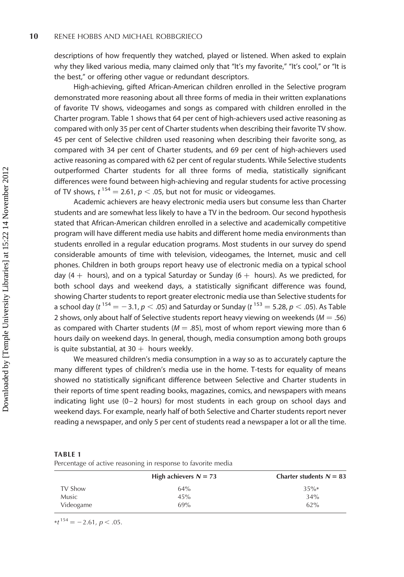descriptions of how frequently they watched, played or listened. When asked to explain why they liked various media, many claimed only that "It's my favorite," "It's cool," or "It is the best," or offering other vague or redundant descriptors.

High-achieving, gifted African-American children enrolled in the Selective program demonstrated more reasoning about all three forms of media in their written explanations of favorite TV shows, videogames and songs as compared with children enrolled in the Charter program. Table 1 shows that 64 per cent of high-achievers used active reasoning as compared with only 35 per cent of Charter students when describing their favorite TV show. 45 per cent of Selective children used reasoning when describing their favorite song, as compared with 34 per cent of Charter students, and 69 per cent of high-achievers used active reasoning as compared with 62 per cent of regular students. While Selective students outperformed Charter students for all three forms of media, statistically significant differences were found between high-achieving and regular students for active processing of TV shows,  $t^{154} = 2.61$ ,  $p < .05$ , but not for music or videogames.

Academic achievers are heavy electronic media users but consume less than Charter students and are somewhat less likely to have a TV in the bedroom. Our second hypothesis stated that African-American children enrolled in a selective and academically competitive program will have different media use habits and different home media environments than students enrolled in a regular education programs. Most students in our survey do spend considerable amounts of time with television, videogames, the Internet, music and cell phones. Children in both groups report heavy use of electronic media on a typical school day (4  $+$  hours), and on a typical Saturday or Sunday (6  $+$  hours). As we predicted, for both school days and weekend days, a statistically significant difference was found, showing Charter students to report greater electronic media use than Selective students for a school day (t  $^{154} = -3.1, p < .05$ ) and Saturday or Sunday (t  $^{153} = 5.28, p < .05$ ). As Table 2 shows, only about half of Selective students report heavy viewing on weekends ( $M = .56$ ) as compared with Charter students ( $M = .85$ ), most of whom report viewing more than 6 hours daily on weekend days. In general, though, media consumption among both groups is quite substantial, at  $30 +$  hours weekly.

We measured children's media consumption in a way so as to accurately capture the many different types of children's media use in the home. T-tests for equality of means showed no statistically significant difference between Selective and Charter students in their reports of time spent reading books, magazines, comics, and newspapers with means indicating light use  $(0-2$  hours) for most students in each group on school days and weekend days. For example, nearly half of both Selective and Charter students report never reading a newspaper, and only 5 per cent of students read a newspaper a lot or all the time.

#### TABLE 1

Percentage of active reasoning in response to favorite media

|                | High achievers $N = 73$ | Charter students $N = 83$ |
|----------------|-------------------------|---------------------------|
| <b>TV Show</b> | 64%                     | $35\%*$                   |
| Music          | 45%                     | 34%                       |
| Videogame      | 69%                     | 62%                       |

 $*t^{154} = -2.61, p < .05.$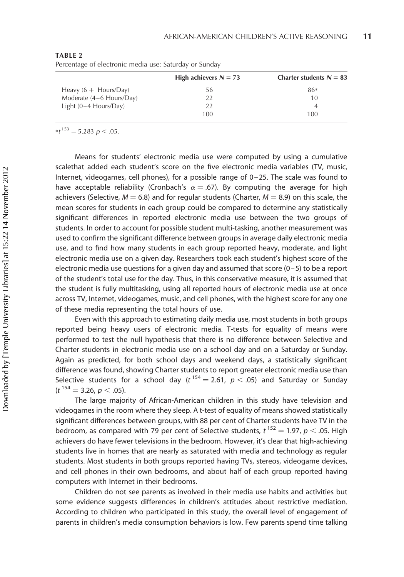|                            | High achievers $N = 73$ | Charter students $N = 83$ |
|----------------------------|-------------------------|---------------------------|
| Heavy $(6 +$ Hours/Day)    | 56                      | 86*                       |
| Moderate $(4-6$ Hours/Day) | 22                      | 10                        |
| Light $(0-4$ Hours/Day)    | 22                      | 4                         |
|                            | 100                     | 100                       |
|                            |                         |                           |

| <b>TABLE 2</b>                                         |  |  |
|--------------------------------------------------------|--|--|
| Percentage of electronic media use: Saturday or Sunday |  |  |

 $*t^{153} = 5.283 \ p < .05.$ 

Means for students' electronic media use were computed by using a cumulative scalethat added each student's score on the five electronic media variables (TV, music, Internet, videogames, cell phones), for a possible range of 0–25. The scale was found to have acceptable reliability (Cronbach's  $\alpha = .67$ ). By computing the average for high achievers (Selective,  $M = 6.8$ ) and for regular students (Charter,  $M = 8.9$ ) on this scale, the mean scores for students in each group could be compared to determine any statistically significant differences in reported electronic media use between the two groups of students. In order to account for possible student multi-tasking, another measurement was used to confirm the significant difference between groups in average daily electronic media use, and to find how many students in each group reported heavy, moderate, and light electronic media use on a given day. Researchers took each student's highest score of the electronic media use questions for a given day and assumed that score (0–5) to be a report of the student's total use for the day. Thus, in this conservative measure, it is assumed that the student is fully multitasking, using all reported hours of electronic media use at once across TV, Internet, videogames, music, and cell phones, with the highest score for any one of these media representing the total hours of use.

Even with this approach to estimating daily media use, most students in both groups reported being heavy users of electronic media. T-tests for equality of means were performed to test the null hypothesis that there is no difference between Selective and Charter students in electronic media use on a school day and on a Saturday or Sunday. Again as predicted, for both school days and weekend days, a statistically significant difference was found, showing Charter students to report greater electronic media use than Selective students for a school day ( $t^{154} = 2.61$ ,  $p < .05$ ) and Saturday or Sunday  $(t^{154} = 3.26, p < .05)$ .

The large majority of African-American children in this study have television and videogames in the room where they sleep. A t-test of equality of means showed statistically significant differences between groups, with 88 per cent of Charter students have TV in the bedroom, as compared with 79 per cent of Selective students,  $t^{152} = 1.97$ ,  $p < .05$ . High achievers do have fewer televisions in the bedroom. However, it's clear that high-achieving students live in homes that are nearly as saturated with media and technology as regular students. Most students in both groups reported having TVs, stereos, videogame devices, and cell phones in their own bedrooms, and about half of each group reported having computers with Internet in their bedrooms.

Children do not see parents as involved in their media use habits and activities but some evidence suggests differences in children's attitudes about restrictive mediation. According to children who participated in this study, the overall level of engagement of parents in children's media consumption behaviors is low. Few parents spend time talking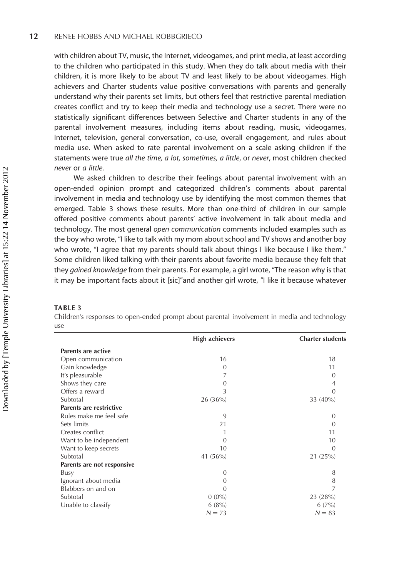with children about TV, music, the Internet, videogames, and print media, at least according to the children who participated in this study. When they do talk about media with their children, it is more likely to be about TV and least likely to be about videogames. High achievers and Charter students value positive conversations with parents and generally understand why their parents set limits, but others feel that restrictive parental mediation creates conflict and try to keep their media and technology use a secret. There were no statistically significant differences between Selective and Charter students in any of the parental involvement measures, including items about reading, music, videogames, Internet, television, general conversation, co-use, overall engagement, and rules about media use. When asked to rate parental involvement on a scale asking children if the statements were true all the time, a lot, sometimes, a little, or never, most children checked never or a little.

We asked children to describe their feelings about parental involvement with an open-ended opinion prompt and categorized children's comments about parental involvement in media and technology use by identifying the most common themes that emerged. Table 3 shows these results. More than one-third of children in our sample offered positive comments about parents' active involvement in talk about media and technology. The most general open communication comments included examples such as the boy who wrote, "I like to talk with my mom about school and TV shows and another boy who wrote, "I agree that my parents should talk about things I like because I like them." Some children liked talking with their parents about favorite media because they felt that they gained knowledge from their parents. For example, a girl wrote, "The reason why is that it may be important facts about it [sic]"and another girl wrote, "I like it because whatever

|                            | <b>High achievers</b> | <b>Charter students</b> |
|----------------------------|-----------------------|-------------------------|
|                            |                       |                         |
| Parents are active         |                       |                         |
| Open communication         | 16                    | 18                      |
| Gain knowledge             | $\theta$              | 11                      |
| It's pleasurable           | 7                     | $\Omega$                |
| Shows they care            | $\theta$              | 4                       |
| Offers a reward            | 3                     | $\Omega$                |
| Subtotal                   | 26 (36%)              | 33 (40%)                |
| Parents are restrictive    |                       |                         |
| Rules make me feel safe    | 9                     |                         |
| Sets limits                | 21                    | $\theta$                |
| Creates conflict           |                       | 11                      |
| Want to be independent     | 0                     | 10                      |
| Want to keep secrets       | 10                    | $\Omega$                |
| Subtotal                   | 41 (56%)              | 21(25%)                 |
| Parents are not responsive |                       |                         |
| Busy                       | $\theta$              | 8                       |
| Ignorant about media       | $\left( \right)$      | 8                       |
| Blabbers on and on         | 0                     | 7                       |
| Subtotal                   | $0(0\%)$              | 23 (28%)                |
| Unable to classify         | 6(8%)                 | $6(7\%)$                |
|                            | $N = 73$              | $N = 83$                |
|                            |                       |                         |

#### TABLE 3

Children's responses to open-ended prompt about parental involvement in media and technology us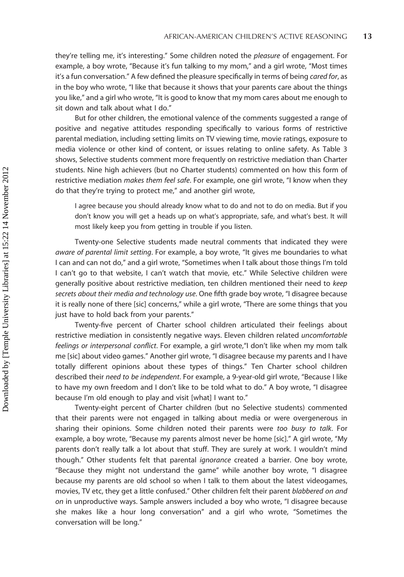they're telling me, it's interesting." Some children noted the pleasure of engagement. For example, a boy wrote, "Because it's fun talking to my mom," and a girl wrote, "Most times it's a fun conversation." A few defined the pleasure specifically in terms of being cared for, as in the boy who wrote, "I like that because it shows that your parents care about the things you like," and a girl who wrote, "It is good to know that my mom cares about me enough to sit down and talk about what I do."

But for other children, the emotional valence of the comments suggested a range of positive and negative attitudes responding specifically to various forms of restrictive parental mediation, including setting limits on TV viewing time, movie ratings, exposure to media violence or other kind of content, or issues relating to online safety. As Table 3 shows, Selective students comment more frequently on restrictive mediation than Charter students. Nine high achievers (but no Charter students) commented on how this form of restrictive mediation *makes them feel safe*. For example, one girl wrote, "I know when they do that they're trying to protect me," and another girl wrote,

I agree because you should already know what to do and not to do on media. But if you don't know you will get a heads up on what's appropriate, safe, and what's best. It will most likely keep you from getting in trouble if you listen.

Twenty-one Selective students made neutral comments that indicated they were aware of parental limit setting. For example, a boy wrote, "It gives me boundaries to what I can and can not do," and a girl wrote, "Sometimes when I talk about those things I'm told I can't go to that website, I can't watch that movie, etc." While Selective children were generally positive about restrictive mediation, ten children mentioned their need to keep secrets about their media and technology use. One fifth grade boy wrote, "I disagree because it is really none of there [sic] concerns," while a girl wrote, "There are some things that you just have to hold back from your parents."

Twenty-five percent of Charter school children articulated their feelings about restrictive mediation in consistently negative ways. Eleven children related uncomfortable feelings or interpersonal conflict. For example, a girl wrote,"I don't like when my mom talk me [sic] about video games." Another girl wrote, "I disagree because my parents and I have totally different opinions about these types of things." Ten Charter school children described their need to be independent. For example, a 9-year-old girl wrote, "Because I like to have my own freedom and I don't like to be told what to do." A boy wrote, "I disagree because I'm old enough to play and visit [what] I want to."

Twenty-eight percent of Charter children (but no Selective students) commented that their parents were not engaged in talking about media or were overgenerous in sharing their opinions. Some children noted their parents were too busy to talk. For example, a boy wrote, "Because my parents almost never be home [sic]." A girl wrote, "My parents don't really talk a lot about that stuff. They are surely at work. I wouldn't mind though." Other students felt that parental ignorance created a barrier. One boy wrote, "Because they might not understand the game" while another boy wrote, "I disagree because my parents are old school so when I talk to them about the latest videogames, movies, TV etc, they get a little confused." Other children felt their parent blabbered on and on in unproductive ways. Sample answers included a boy who wrote, "I disagree because she makes like a hour long conversation" and a girl who wrote, "Sometimes the conversation will be long."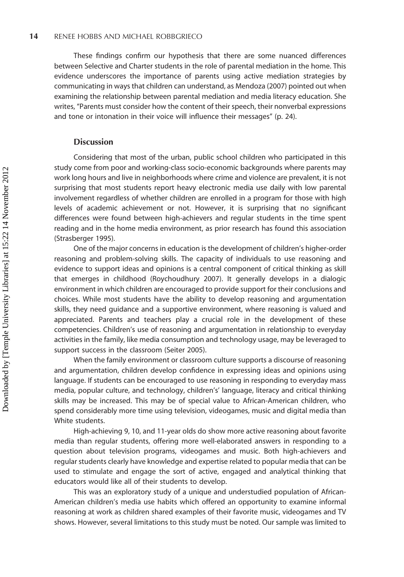These findings confirm our hypothesis that there are some nuanced differences between Selective and Charter students in the role of parental mediation in the home. This evidence underscores the importance of parents using active mediation strategies by communicating in ways that children can understand, as Mendoza (2007) pointed out when examining the relationship between parental mediation and media literacy education. She writes, "Parents must consider how the content of their speech, their nonverbal expressions and tone or intonation in their voice will influence their messages" (p. 24).

#### **Discussion**

Considering that most of the urban, public school children who participated in this study come from poor and working-class socio-economic backgrounds where parents may work long hours and live in neighborhoods where crime and violence are prevalent, it is not surprising that most students report heavy electronic media use daily with low parental involvement regardless of whether children are enrolled in a program for those with high levels of academic achievement or not. However, it is surprising that no significant differences were found between high-achievers and regular students in the time spent reading and in the home media environment, as prior research has found this association (Strasberger 1995).

One of the major concerns in education is the development of children's higher-order reasoning and problem-solving skills. The capacity of individuals to use reasoning and evidence to support ideas and opinions is a central component of critical thinking as skill that emerges in childhood (Roychoudhury 2007). It generally develops in a dialogic environment in which children are encouraged to provide support for their conclusions and choices. While most students have the ability to develop reasoning and argumentation skills, they need guidance and a supportive environment, where reasoning is valued and appreciated. Parents and teachers play a crucial role in the development of these competencies. Children's use of reasoning and argumentation in relationship to everyday activities in the family, like media consumption and technology usage, may be leveraged to support success in the classroom (Seiter 2005).

When the family environment or classroom culture supports a discourse of reasoning and argumentation, children develop confidence in expressing ideas and opinions using language. If students can be encouraged to use reasoning in responding to everyday mass media, popular culture, and technology, children's' language, literacy and critical thinking skills may be increased. This may be of special value to African-American children, who spend considerably more time using television, videogames, music and digital media than White students.

High-achieving 9, 10, and 11-year olds do show more active reasoning about favorite media than regular students, offering more well-elaborated answers in responding to a question about television programs, videogames and music. Both high-achievers and regular students clearly have knowledge and expertise related to popular media that can be used to stimulate and engage the sort of active, engaged and analytical thinking that educators would like all of their students to develop.

This was an exploratory study of a unique and understudied population of African-American children's media use habits which offered an opportunity to examine informal reasoning at work as children shared examples of their favorite music, videogames and TV shows. However, several limitations to this study must be noted. Our sample was limited to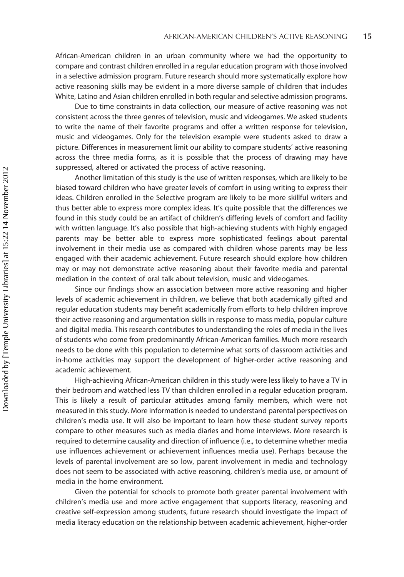African-American children in an urban community where we had the opportunity to compare and contrast children enrolled in a regular education program with those involved in a selective admission program. Future research should more systematically explore how active reasoning skills may be evident in a more diverse sample of children that includes White, Latino and Asian children enrolled in both regular and selective admission programs.

Due to time constraints in data collection, our measure of active reasoning was not consistent across the three genres of television, music and videogames. We asked students to write the name of their favorite programs and offer a written response for television, music and videogames. Only for the television example were students asked to draw a picture. Differences in measurement limit our ability to compare students' active reasoning across the three media forms, as it is possible that the process of drawing may have suppressed, altered or activated the process of active reasoning.

Another limitation of this study is the use of written responses, which are likely to be biased toward children who have greater levels of comfort in using writing to express their ideas. Children enrolled in the Selective program are likely to be more skillful writers and thus better able to express more complex ideas. It's quite possible that the differences we found in this study could be an artifact of children's differing levels of comfort and facility with written language. It's also possible that high-achieving students with highly engaged parents may be better able to express more sophisticated feelings about parental involvement in their media use as compared with children whose parents may be less engaged with their academic achievement. Future research should explore how children may or may not demonstrate active reasoning about their favorite media and parental mediation in the context of oral talk about television, music and videogames.

Since our findings show an association between more active reasoning and higher levels of academic achievement in children, we believe that both academically gifted and regular education students may benefit academically from efforts to help children improve their active reasoning and argumentation skills in response to mass media, popular culture and digital media. This research contributes to understanding the roles of media in the lives of students who come from predominantly African-American families. Much more research needs to be done with this population to determine what sorts of classroom activities and in-home activities may support the development of higher-order active reasoning and academic achievement.

High-achieving African-American children in this study were less likely to have a TV in their bedroom and watched less TV than children enrolled in a regular education program. This is likely a result of particular attitudes among family members, which were not measured in this study. More information is needed to understand parental perspectives on children's media use. It will also be important to learn how these student survey reports compare to other measures such as media diaries and home interviews. More research is required to determine causality and direction of influence (i.e., to determine whether media use influences achievement or achievement influences media use). Perhaps because the levels of parental involvement are so low, parent involvement in media and technology does not seem to be associated with active reasoning, children's media use, or amount of media in the home environment.

Given the potential for schools to promote both greater parental involvement with children's media use and more active engagement that supports literacy, reasoning and creative self-expression among students, future research should investigate the impact of media literacy education on the relationship between academic achievement, higher-order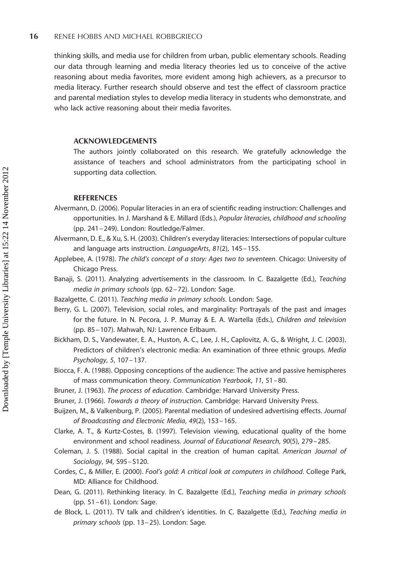thinking skills, and media use for children from urban, public elementary schools. Reading our data through learning and media literacy theories led us to conceive of the active reasoning about media favorites, more evident among high achievers, as a precursor to media literacy. Further research should observe and test the effect of classroom practice and parental mediation styles to develop media literacy in students who demonstrate, and who lack active reasoning about their media favorites.

#### ACKNOWLEDGEMENTS

The authors jointly collaborated on this research. We gratefully acknowledge the assistance of teachers and school administrators from the participating school in supporting data collection.

#### REFERENCES

- Alvermann, D. (2006). Popular literacies in an era of scientific reading instruction: Challenges and opportunities. In J. Marshand & E. Millard (Eds.), Popular literacies, childhood and schooling (pp. 241–249). London: Routledge/Falmer.
- Alvermann, D. E., & Xu, S. H. (2003). Children's everyday literacies: Intersections of popular culture and language arts instruction. LanguageArts, 81(2), 145–155.
- Applebee, A. (1978). The child's concept of a story: Ages two to seventeen. Chicago: University of Chicago Press.
- Banaji, S. (2011). Analyzing advertisements in the classroom. In C. Bazalgette (Ed.), Teaching media in primary schools (pp. 62–72). London: Sage.
- Bazalgette, C. (2011). Teaching media in primary schools. London: Sage.
- Berry, G. L. (2007). Television, social roles, and marginality: Portrayals of the past and images for the future. In N. Pecora, J. P. Murray & E. A. Wartella (Eds.), Children and television (pp. 85 –107). Mahwah, NJ: Lawrence Erlbaum.
- Bickham, D. S., Vandewater, E. A., Huston, A. C., Lee, J. H., Caplovitz, A. G., & Wright, J. C. (2003). Predictors of children's electronic media: An examination of three ethnic groups. Media Psychology, 5, 107–137.
- Biocca, F. A. (1988). Opposing conceptions of the audience: The active and passive hemispheres of mass communication theory. Communication Yearbook, 11, 51–80.
- Bruner, J. (1963). The process of education. Cambridge: Harvard University Press.
- Bruner, J. (1966). Towards a theory of instruction. Cambridge: Harvard University Press.
- Buijzen, M., & Valkenburg, P. (2005). Parental mediation of undesired advertising effects. Journal of Broadcasting and Electronic Media, 49(2), 153–165.
- Clarke, A. T., & Kurtz-Costes, B. (1997). Television viewing, educational quality of the home environment and school readiness. Journal of Educational Research, 90(5), 279–285.
- Coleman, J. S. (1988). Social capital in the creation of human capital. American Journal of Sociology, 94, S95–S120.
- Cordes, C., & Miller, E. (2000). Fool's gold: A critical look at computers in childhood. College Park, MD: Alliance for Childhood.
- Dean, G. (2011). Rethinking literacy. In C. Bazalgette (Ed.), Teaching media in primary schools (pp. 51 –61). London: Sage.
- de Block, L. (2011). TV talk and children's identities. In C. Bazalgette (Ed.), Teaching media in primary schools (pp. 13–25). London: Sage.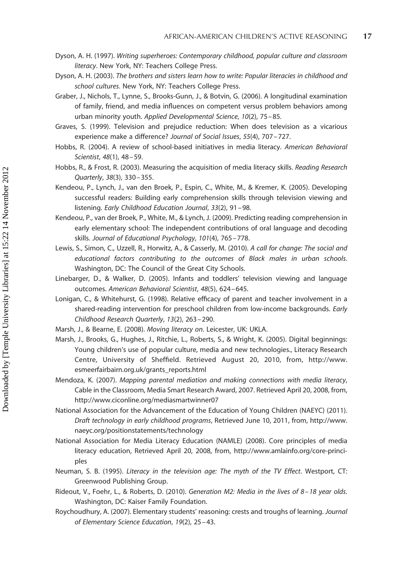- Dyson, A. H. (1997). Writing superheroes: Contemporary childhood, popular culture and classroom literacy. New York, NY: Teachers College Press.
- Dyson, A. H. (2003). The brothers and sisters learn how to write: Popular literacies in childhood and school cultures. New York, NY: Teachers College Press.
- Graber, J., Nichols, T., Lynne, S., Brooks-Gunn, J., & Botvin, G. (2006). A longitudinal examination of family, friend, and media influences on competent versus problem behaviors among urban minority youth. Applied Developmental Science, 10(2), 75–85.
- Graves, S. (1999). Television and prejudice reduction: When does television as a vicarious experience make a difference? Journal of Social Issues, 55(4), 707–727.
- Hobbs, R. (2004). A review of school-based initiatives in media literacy. American Behavioral Scientist, 48(1), 48–59.
- Hobbs, R., & Frost, R. (2003). Measuring the acquisition of media literacy skills. Reading Research Quarterly, 38(3), 330–355.
- Kendeou, P., Lynch, J., van den Broek, P., Espin, C., White, M., & Kremer, K. (2005). Developing successful readers: Building early comprehension skills through television viewing and listening. Early Childhood Education Journal, 33(2), 91–98.
- Kendeou, P., van der Broek, P., White, M., & Lynch, J. (2009). Predicting reading comprehension in early elementary school: The independent contributions of oral language and decoding skills. Journal of Educational Psychology, 101(4), 765–778.
- Lewis, S., Simon, C., Uzzell, R., Horwitz, A., & Casserly, M. (2010). A call for change: The social and educational factors contributing to the outcomes of Black males in urban schools. Washington, DC: The Council of the Great City Schools.
- Linebarger, D., & Walker, D. (2005). Infants and toddlers' television viewing and language outcomes. American Behavioral Scientist, 48(5), 624–645.
- Lonigan, C., & Whitehurst, G. (1998). Relative efficacy of parent and teacher involvement in a shared-reading intervention for preschool children from low-income backgrounds. Early Childhood Research Quarterly, 13(2), 263–290.
- Marsh, J., & Bearne, E. (2008). Moving literacy on. Leicester, UK: UKLA.
- Marsh, J., Brooks, G., Hughes, J., Ritchie, L., Roberts, S., & Wright, K. (2005). Digital beginnings: Young children's use of popular culture, media and new technologies., Literacy Research Centre, University of Sheffield. Retrieved August 20, 2010, from, [http://www.](http://www.esmeerfairbairn.org.uk/grants_reports.html) [esmeerfairbairn.org.uk/grants\\_reports.html](http://www.esmeerfairbairn.org.uk/grants_reports.html)
- Mendoza, K. (2007). Mapping parental mediation and making connections with media literacy, Cable in the Classroom, Media Smart Research Award, 2007. Retrieved April 20, 2008, from, <http://www.ciconline.org/mediasmartwinner07>
- National Association for the Advancement of the Education of Young Children (NAEYC) (2011). Draft technology in early childhood programs, Retrieved June 10, 2011, from, [http://www.](http://www.naeyc.org/positionstatements/technology) [naeyc.org/positionstatements/technology](http://www.naeyc.org/positionstatements/technology)
- National Association for Media Literacy Education (NAMLE) (2008). Core principles of media literacy education, Retrieved April 20, 2008, from, [http://www.amlainfo.org/core-princi](http://www.amlainfo.org/core-principles)[ples](http://www.amlainfo.org/core-principles)
- Neuman, S. B. (1995). Literacy in the television age: The myth of the TV Effect. Westport, CT: Greenwood Publishing Group.
- Rideout, V., Foehr, L., & Roberts, D. (2010). Generation M2: Media in the lives of 8 18 year olds. Washington, DC: Kaiser Family Foundation.
- Roychoudhury, A. (2007). Elementary students' reasoning: crests and troughs of learning. Journal of Elementary Science Education, 19(2), 25 –43.